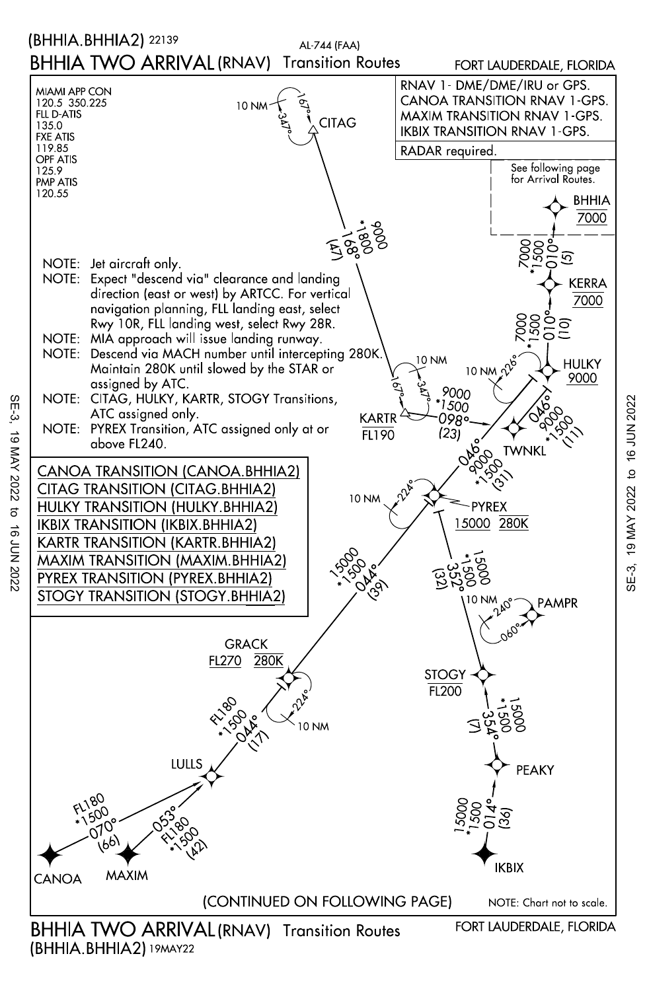

SE-3, SE-3, 19 MAY 2022 to 16 JUN 2022 19 MAY 2022  $\overline{a}$ **16 JUN 2022** 

(BHHIA.BHHIA2) 19MAY22

SE-3, 19 MAY 2022 to 16 JUN 2022SE-3, 19 MAY 2022 to 16 JUN 2022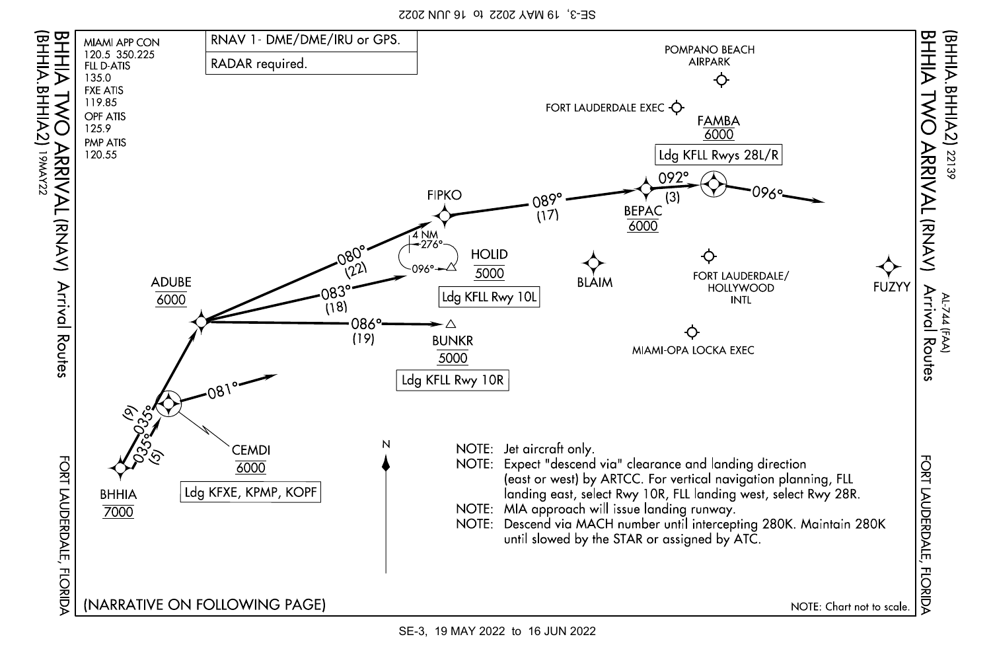SE-3, 19 MAY 2022 to 16 JUN 2022